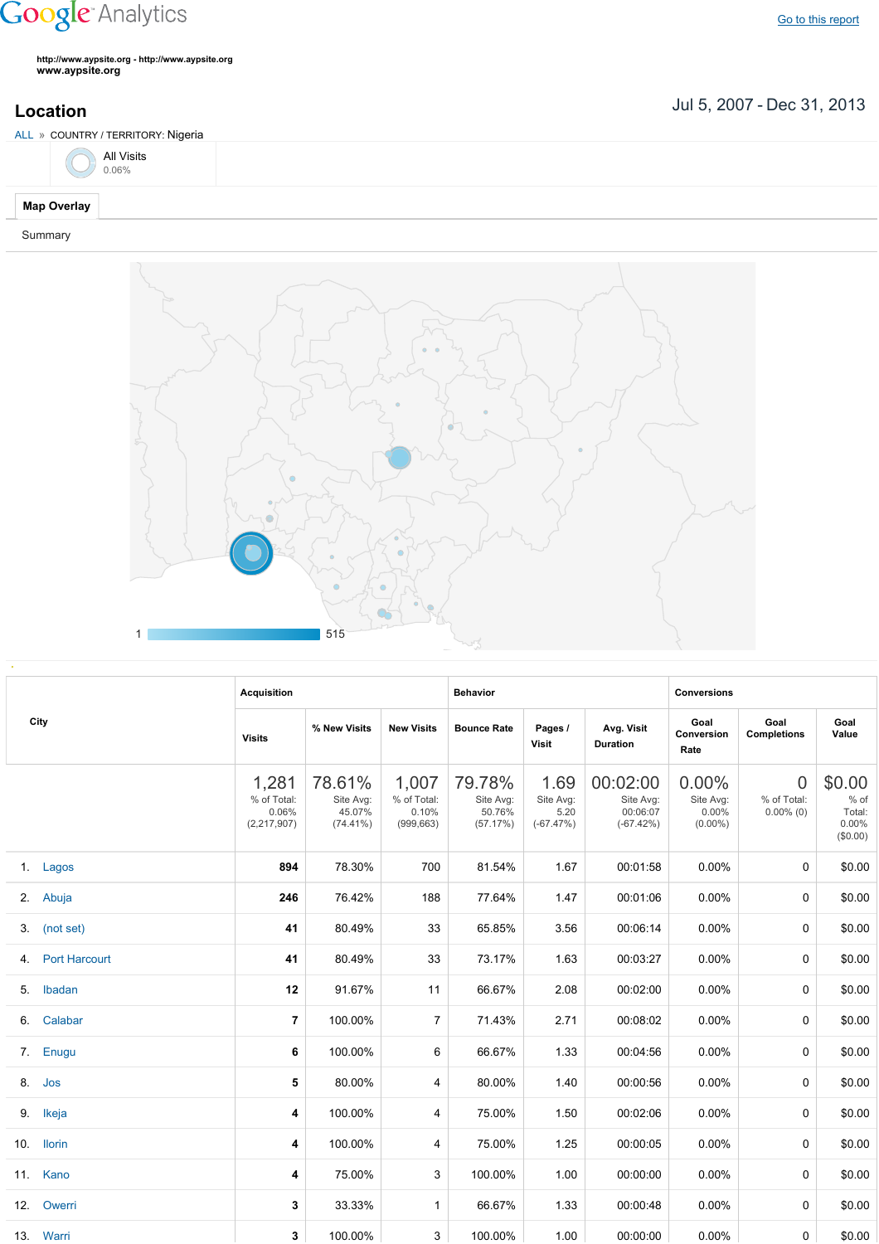## **Google** Analytics

**http://www.aypsite.org http://www.aypsite.org www.aypsite.org**

Jul 5, 2007 Dec 31, 2013 **Location**



Summary



|                  | <b>Acquisition</b>                             |                                              |                                             | <b>Behavior</b>                           |                                          |                                                  | <b>Conversions</b>                           |                                               |                                                    |
|------------------|------------------------------------------------|----------------------------------------------|---------------------------------------------|-------------------------------------------|------------------------------------------|--------------------------------------------------|----------------------------------------------|-----------------------------------------------|----------------------------------------------------|
| City             | <b>Visits</b>                                  | % New Visits                                 | <b>New Visits</b>                           | <b>Bounce Rate</b>                        | Pages /<br><b>Visit</b>                  | Avg. Visit<br><b>Duration</b>                    | Goal<br>Conversion<br>Rate                   | Goal<br><b>Completions</b>                    | Goal<br>Value                                      |
|                  | 1,281<br>% of Total:<br>0.06%<br>(2, 217, 907) | 78.61%<br>Site Avg:<br>45.07%<br>$(74.41\%)$ | 1,007<br>% of Total:<br>0.10%<br>(999, 663) | 79.78%<br>Site Avg:<br>50.76%<br>(57.17%) | 1.69<br>Site Avg:<br>5.20<br>$(-67.47%)$ | 00:02:00<br>Site Avg:<br>00:06:07<br>$(-67.42%)$ | 0.00%<br>Site Avg:<br>$0.00\%$<br>$(0.00\%)$ | $\overline{0}$<br>% of Total:<br>$0.00\%$ (0) | \$0.00<br>$%$ of<br>Total:<br>$0.00\%$<br>(\$0.00) |
| 1. Lagos         | 894                                            | 78.30%                                       | 700                                         | 81.54%                                    | 1.67                                     | 00:01:58                                         | 0.00%                                        | $\Omega$                                      | \$0.00                                             |
| 2. Abuja         | 246                                            | 76.42%                                       | 188                                         | 77.64%                                    | 1.47                                     | 00:01:06                                         | $0.00\%$                                     | 0                                             | \$0.00                                             |
| 3. (not set)     | 41                                             | 80.49%                                       | 33                                          | 65.85%                                    | 3.56                                     | 00:06:14                                         | $0.00\%$                                     | $\Omega$                                      | \$0.00                                             |
| 4. Port Harcourt | 41                                             | 80.49%                                       | 33                                          | 73.17%                                    | 1.63                                     | 00:03:27                                         | $0.00\%$                                     | 0                                             | \$0.00                                             |
| 5. Ibadan        | 12                                             | 91.67%                                       | 11                                          | 66.67%                                    | 2.08                                     | 00:02:00                                         | 0.00%                                        | $\Omega$                                      | \$0.00                                             |
| 6. Calabar       | $\overline{7}$                                 | 100.00%                                      | $\overline{7}$                              | 71.43%                                    | 2.71                                     | 00:08:02                                         | 0.00%                                        | 0                                             | \$0.00                                             |
| 7. Enugu         | 6                                              | 100.00%                                      | 6                                           | 66.67%                                    | 1.33                                     | 00:04:56                                         | 0.00%                                        | $\Omega$                                      | \$0.00                                             |
| 8. Jos           | 5                                              | 80.00%                                       | 4                                           | 80.00%                                    | 1.40                                     | 00:00:56                                         | 0.00%                                        | $\Omega$                                      | \$0.00                                             |
| 9. Ikeja         | 4                                              | 100.00%                                      | 4                                           | 75.00%                                    | 1.50                                     | 00:02:06                                         | 0.00%                                        | $\Omega$                                      | \$0.00                                             |
| 10. Ilorin       | 4                                              | 100.00%                                      | 4                                           | 75.00%                                    | 1.25                                     | 00:00:05                                         | 0.00%                                        | 0                                             | \$0.00                                             |
| 11. Kano         | 4                                              | 75.00%                                       | 3                                           | 100.00%                                   | 1.00                                     | 00:00:00                                         | 0.00%                                        | $\Omega$                                      | \$0.00                                             |
| 12. Owerri       | 3                                              | 33.33%                                       | 1                                           | 66.67%                                    | 1.33                                     | 00:00:48                                         | 0.00%                                        | 0                                             | \$0.00                                             |
| 13. Warri        | 3                                              | 100.00%                                      | 3                                           | 100.00%                                   | 1.00                                     | 00:00:00                                         | $0.00\%$                                     | 0                                             | \$0.00                                             |